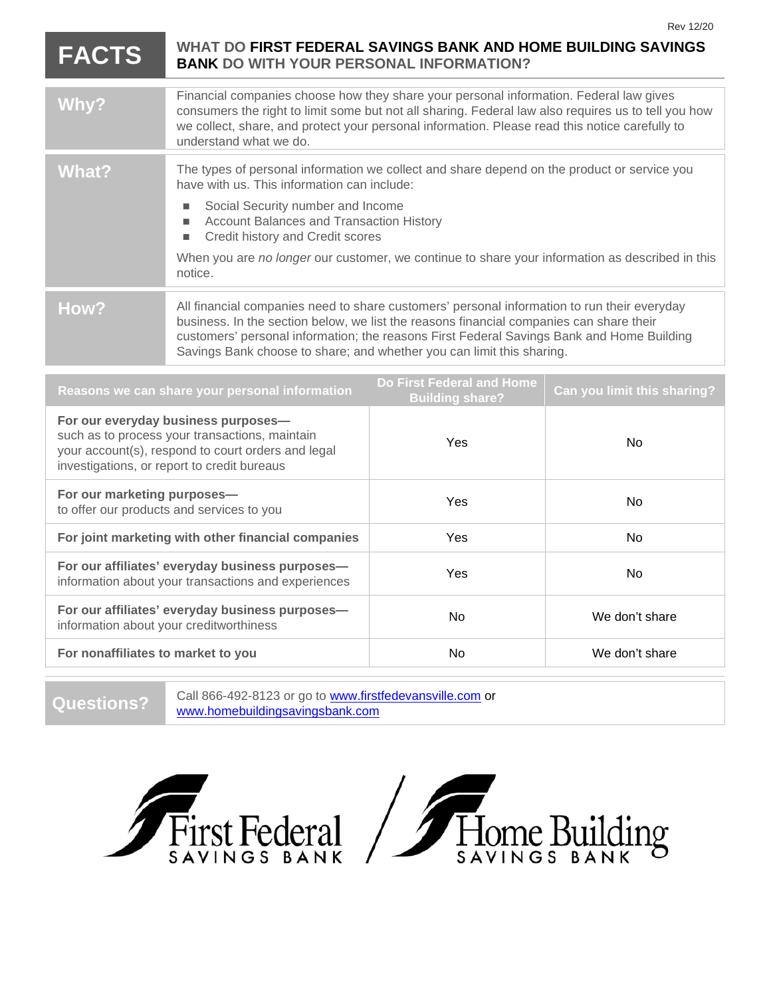| <b>Rev 12/20</b> |
|------------------|
|                  |
|                  |

## **FACTS WHAT DO FIRST FEDERAL SAVINGS BANK AND HOME BUILDING SAVINGS BANK DO WITH YOUR PERSONAL INFORMATION?**

| Why?  | Financial companies choose how they share your personal information. Federal law gives<br>consumers the right to limit some but not all sharing. Federal law also requires us to tell you how<br>we collect, share, and protect your personal information. Please read this notice carefully to<br>understand what we do.                                                                            |
|-------|------------------------------------------------------------------------------------------------------------------------------------------------------------------------------------------------------------------------------------------------------------------------------------------------------------------------------------------------------------------------------------------------------|
| What? | The types of personal information we collect and share depend on the product or service you<br>have with us. This information can include:<br>Social Security number and Income<br>п.<br><b>Account Balances and Transaction History</b><br>٠<br>Credit history and Credit scores<br>п<br>When you are no longer our customer, we continue to share your information as described in this<br>notice. |
| How?  | All financial companies need to share customers' personal information to run their everyday<br>business. In the section below, we list the reasons financial companies can share their<br>customers' personal information; the reasons First Federal Savings Bank and Home Building<br>Savings Bank choose to share; and whether you can limit this sharing.                                         |

| Reasons we can share your personal information                                                                                                                                             | Do First Federal and Home<br><b>Building share?</b> | Can you limit this sharing? |
|--------------------------------------------------------------------------------------------------------------------------------------------------------------------------------------------|-----------------------------------------------------|-----------------------------|
| For our everyday business purposes-<br>such as to process your transactions, maintain<br>your account(s), respond to court orders and legal<br>investigations, or report to credit bureaus | Yes                                                 | No.                         |
| For our marketing purposes-<br>to offer our products and services to you                                                                                                                   | Yes                                                 | <b>No</b>                   |
| For joint marketing with other financial companies                                                                                                                                         | <b>Yes</b>                                          | <b>No</b>                   |
| For our affiliates' everyday business purposes-<br>information about your transactions and experiences                                                                                     | <b>Yes</b>                                          | No.                         |
| For our affiliates' everyday business purposes-<br>information about your creditworthiness                                                                                                 | <b>No</b>                                           | We don't share              |
| For nonaffiliates to market to you                                                                                                                                                         | <b>No</b>                                           | We don't share              |

Questions? Call 866-492-8123 or go to [www.firstfedevansville.com](http://www.firstfedevansville.com/) or [www.homebuildingsavingsbank.com](http://www.homebuildingsavingsbank.com/)